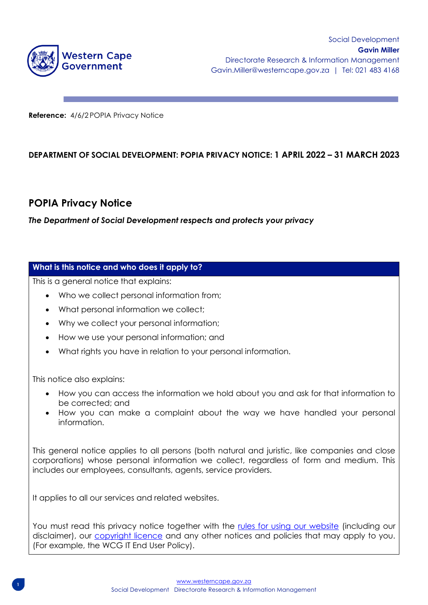

**Reference:** 4/6/2 POPIA Privacy Notice

# **DEPARTMENT OF SOCIAL DEVELOPMENT: POPIA PRIVACY NOTICE: 1 APRIL 2022 – 31 MARCH 2023**

# **POPIA Privacy Notice**

*The Department of Social Development respects and protects your privacy* 

## **What is this notice and who does it apply to?**

This is a general notice that explains:

- Who we collect personal information from;
- What personal information we collect;
- Why we collect your personal information;
- How we use your personal information; and
- What rights you have in relation to your personal information.

This notice also explains:

- How you can access the information we hold about you and ask for that information to be corrected; and
- How you can make a complaint about the way we have handled your personal information.

This general notice applies to all persons (both natural and juristic, like companies and close corporations) whose personal information we collect, regardless of form and medium. This includes our employees, consultants, agents, service providers.

It applies to all our services and related websites.

You must read this privacy notice together with the [rules for using our website](https://www.westerncape.gov.za/terms) (including our disclaimer), our [copyright licence](https://www.westerncape.gov.za/copyright) and any other notices and policies that may apply to you. (For example, the WCG IT End User Policy).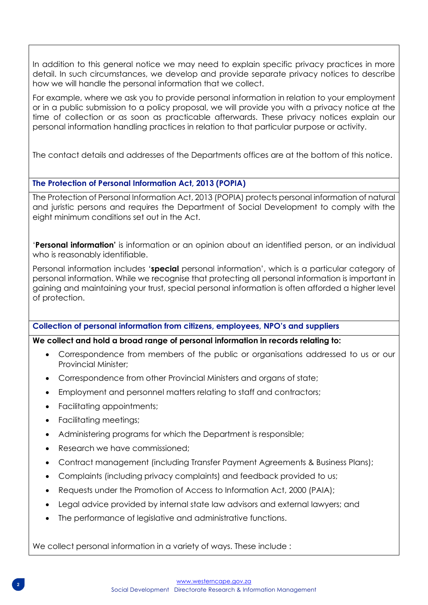In addition to this general notice we may need to explain specific privacy practices in more detail. In such circumstances, we develop and provide separate privacy notices to describe how we will handle the personal information that we collect.

For example, where we ask you to provide personal information in relation to your employment or in a public submission to a policy proposal, we will provide you with a privacy notice at the time of collection or as soon as practicable afterwards. These privacy notices explain our personal information handling practices in relation to that particular purpose or activity.

The contact details and addresses of the Departments offices are at the bottom of this notice.

# **The Protection of Personal Information Act, 2013 (POPIA)**

The Protection of Personal Information Act, 2013 (POPIA) protects personal information of natural and juristic persons and requires the Department of Social Development to comply with the eight minimum conditions set out in the Act.

'**Personal information'** is information or an opinion about an identified person, or an individual who is reasonably identifiable.

Personal information includes '**special** personal information', which is a particular category of personal information. While we recognise that protecting all personal information is important in gaining and maintaining your trust, special personal information is often afforded a higher level of protection.

# **Collection of personal information from citizens, employees, NPO's and suppliers**

# **We collect and hold a broad range of personal information in records relating to:**

- Correspondence from members of the public or organisations addressed to us or our Provincial Minister;
- Correspondence from other Provincial Ministers and organs of state;
- Employment and personnel matters relating to staff and contractors;
- Facilitating appointments;
- Facilitating meetings;
- Administering programs for which the Department is responsible;
- Research we have commissioned;
- Contract management (including Transfer Payment Agreements & Business Plans);
- Complaints (including privacy complaints) and feedback provided to us;
- Requests under the Promotion of Access to Information Act, 2000 (PAIA);
- Legal advice provided by internal state law advisors and external lawyers; and
- The performance of leaislative and administrative functions.

We collect personal information in a variety of ways. These include: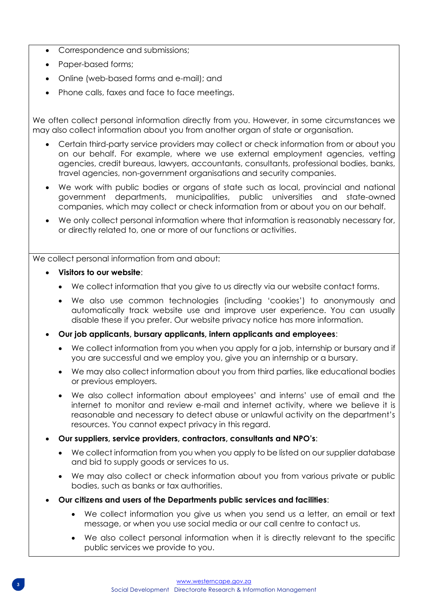- Correspondence and submissions;
- Paper-based forms;
- Online (web-based forms and e-mail); and
- Phone calls, faxes and face to face meetings.

We often collect personal information directly from you. However, in some circumstances we may also collect information about you from another organ of state or organisation.

- Certain third-party service providers may collect or check information from or about you on our behalf. For example, where we use external employment agencies, vetting agencies, credit bureaus, lawyers, accountants, consultants, professional bodies, banks, travel agencies, non-government organisations and security companies.
- We work with public bodies or organs of state such as local, provincial and national government departments, municipalities, public universities and state-owned companies, which may collect or check information from or about you on our behalf.
- We only collect personal information where that information is reasonably necessary for, or directly related to, one or more of our functions or activities.

We collect personal information from and about:

- **Visitors to our website**:
	- We collect information that you give to us directly via our website contact forms.
	- We also use common technologies (including 'cookies') to anonymously and automatically track website use and improve user experience. You can usually disable these if you prefer. Our website privacy notice has more information.
- **Our job applicants, bursary applicants, intern applicants and employees**:
	- We collect information from you when you apply for a job, internship or bursary and if you are successful and we employ you, give you an internship or a bursary.
	- We may also collect information about you from third parties, like educational bodies or previous employers.
	- We also collect information about employees' and interns' use of email and the internet to monitor and review e-mail and internet activity, where we believe it is reasonable and necessary to detect abuse or unlawful activity on the department's resources. You cannot expect privacy in this regard.
- **Our suppliers, service providers, contractors, consultants and NPO's**:
	- We collect information from you when you apply to be listed on our supplier database and bid to supply goods or services to us.
	- We may also collect or check information about you from various private or public bodies, such as banks or tax authorities.
- **Our citizens and users of the Departments public services and facilities**:
	- We collect information you give us when you send us a letter, an email or text message, or when you use social media or our call centre to contact us.
	- We also collect personal information when it is directly relevant to the specific public services we provide to you.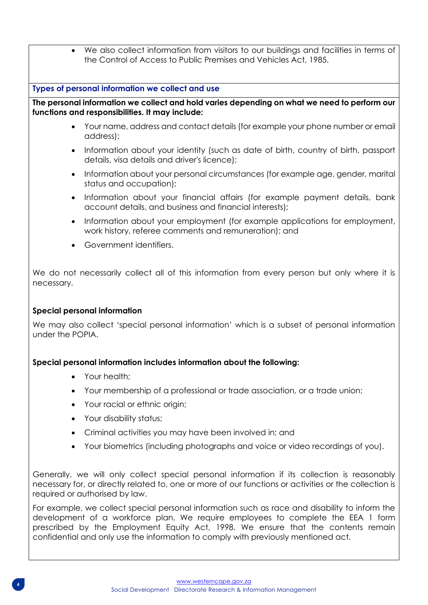We also collect information from visitors to our buildings and facilities in terms of the Control of Access to Public Premises and Vehicles Act, 1985.

### **Types of personal information we collect and use**

**The personal information we collect and hold varies depending on what we need to perform our functions and responsibilities. It may include:**

- Your name, address and contact details (for example your phone number or email address);
- Information about your identity (such as date of birth, country of birth, passport details, visa details and driver's licence);
- Information about your personal circumstances (for example age, gender, marital status and occupation);
- Information about your financial affairs (for example payment details, bank account details, and business and financial interests);
- Information about your employment (for example applications for employment, work history, referee comments and remuneration); and
- Government identifiers.

We do not necessarily collect all of this information from every person but only where it is necessary.

### **Special personal information**

We may also collect 'special personal information' which is a subset of personal information under the POPIA.

### **Special personal information includes information about the following:**

- Your health;
- Your membership of a professional or trade association, or a trade union;
- Your racial or ethnic origin;
- Your disability status;
- Criminal activities you may have been involved in; and
- Your biometrics (including photographs and voice or video recordings of you).

Generally, we will only collect special personal information if its collection is reasonably necessary for, or directly related to, one or more of our functions or activities or the collection is required or authorised by law.

For example, we collect special personal information such as race and disability to inform the development of a workforce plan. We require employees to complete the EEA 1 form prescribed by the Employment Equity Act, 1998. We ensure that the contents remain confidential and only use the information to comply with previously mentioned act.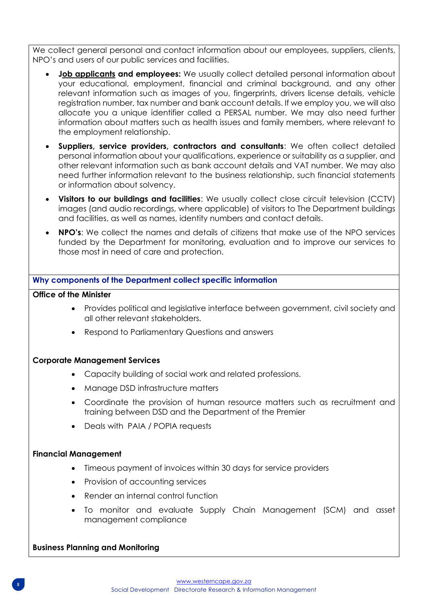We collect general personal and contact information about our employees, suppliers, clients, NPO's and users of our public services and facilities.

- **[Job applicants](https://www.westerncape.gov.za/jobs) and employees:** We usually collect detailed personal information about your educational, employment, financial and criminal background, and any other relevant information such as images of you, fingerprints, drivers license details, vehicle registration number, tax number and bank account details. If we employ you, we will also allocate you a unique identifier called a PERSAL number. We may also need further information about matters such as health issues and family members, where relevant to the employment relationship.
- **Suppliers, service providers, contractors and consultants**: We often collect detailed personal information about your qualifications, experience or suitability as a supplier, and other relevant information such as bank account details and VAT number. We may also need further information relevant to the business relationship, such financial statements or information about solvency.
- **Visitors to our buildings and facilities**: We usually collect close circuit television (CCTV) images (and audio recordings, where applicable) of visitors to The Department buildings and facilities, as well as names, identity numbers and contact details.
- **NPO's**: We collect the names and details of citizens that make use of the NPO services funded by the Department for monitoring, evaluation and to improve our services to those most in need of care and protection.

## **Why components of the Department collect specific information**

### **Office of the Minister**

- Provides political and legislative interface between government, civil society and all other relevant stakeholders.
- Respond to Parliamentary Questions and answers

#### **Corporate Management Services**

- Capacity building of social work and related professions.
- Manage DSD infrastructure matters
- Coordinate the provision of human resource matters such as recruitment and training between DSD and the Department of the Premier
- Deals with PAIA / POPIA requests

#### **Financial Management**

- Timeous payment of invoices within 30 days for service providers
- Provision of accounting services
- Render an internal control function
- To monitor and evaluate Supply Chain Management (SCM) and asset management compliance

#### **Business Planning and Monitoring**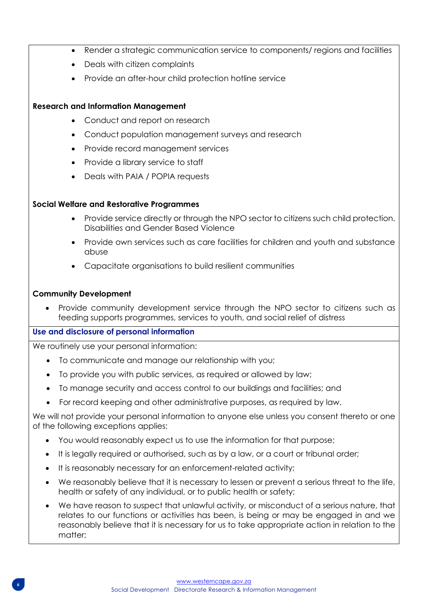- Render a strategic communication service to components/ regions and facilities
- Deals with citizen complaints
- Provide an after-hour child protection hotline service

# **Research and Information Management**

- Conduct and report on research
- Conduct population management surveys and research
- Provide record management services
- Provide a library service to staff
- Deals with PAIA / POPIA requests

# **Social Welfare and Restorative Programmes**

- Provide service directly or through the NPO sector to citizens such child protection. Disabilities and Gender Based Violence
- Provide own services such as care facilities for children and youth and substance abuse
- Capacitate organisations to build resilient communities

## **Community Development**

• Provide community development service through the NPO sector to citizens such as feeding supports programmes, services to youth, and social relief of distress

# **Use and disclosure of personal information**

We routinely use your personal information:

- To communicate and manage our relationship with you;
- To provide you with public services, as required or allowed by law;
- To manage security and access control to our buildings and facilities; and
- For record keeping and other administrative purposes, as required by law.

We will not provide your personal information to anyone else unless you consent thereto or one of the following exceptions applies:

- You would reasonably expect us to use the information for that purpose;
- It is legally required or authorised, such as by a law, or a court or tribunal order;
- It is reasonably necessary for an enforcement-related activity;
- We reasonably believe that it is necessary to lessen or prevent a serious threat to the life, health or safety of any individual, or to public health or safety;
- We have reason to suspect that unlawful activity, or misconduct of a serious nature, that relates to our functions or activities has been, is being or may be engaged in and we reasonably believe that it is necessary for us to take appropriate action in relation to the matter;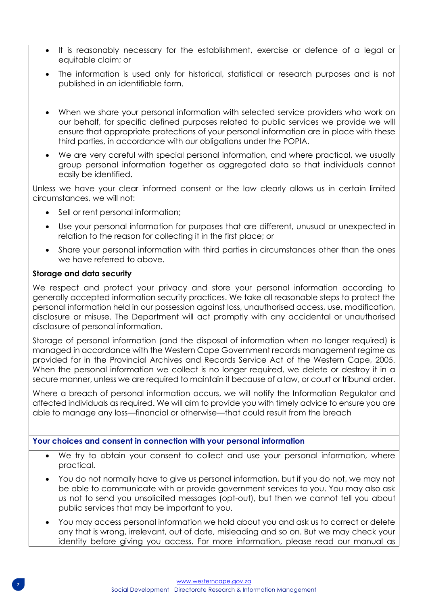- It is reasonably necessary for the establishment, exercise or defence of a legal or equitable claim; or
- The information is used only for historical, statistical or research purposes and is not published in an identifiable form.
- When we share your personal information with selected service providers who work on our behalf, for specific defined purposes related to public services we provide we will ensure that appropriate protections of your personal information are in place with these third parties, in accordance with our obligations under the POPIA.
- We are very careful with special personal information, and where practical, we usually group personal information together as aggregated data so that individuals cannot easily be identified.

Unless we have your clear informed consent or the law clearly allows us in certain limited circumstances, we will not:

- Sell or rent personal information;
- Use your personal information for purposes that are different, unusual or unexpected in relation to the reason for collecting it in the first place; or
- Share your personal information with third parties in circumstances other than the ones we have referred to above.

## **Storage and data security**

We respect and protect your privacy and store your personal information according to generally accepted information security practices. We take all reasonable steps to protect the personal information held in our possession against loss, unauthorised access, use, modification, disclosure or misuse. The Department will act promptly with any accidental or unauthorised disclosure of personal information.

Storage of personal information (and the disposal of information when no longer required) is managed in accordance with the Western Cape Government records management regime as provided for in the Provincial Archives and Records Service Act of the Western Cape, 2005. When the personal information we collect is no longer required, we delete or destroy it in a secure manner, unless we are required to maintain it because of a law, or court or tribunal order.

Where a breach of personal information occurs, we will notify the Information Regulator and affected individuals as required. We will aim to provide you with timely advice to ensure you are able to manage any loss—financial or otherwise—that could result from the breach

# **Your choices and consent in connection with your personal information**

- We try to obtain your consent to collect and use your personal information, where practical.
- You do not normally have to give us personal information, but if you do not, we may not be able to communicate with or provide government services to you. You may also ask us not to send you unsolicited messages (opt-out), but then we cannot tell you about public services that may be important to you.
- You may access personal information we hold about you and ask us to correct or delete any that is wrong, irrelevant, out of date, misleading and so on. But we may check your identity before giving you access. For more information, please read our manual as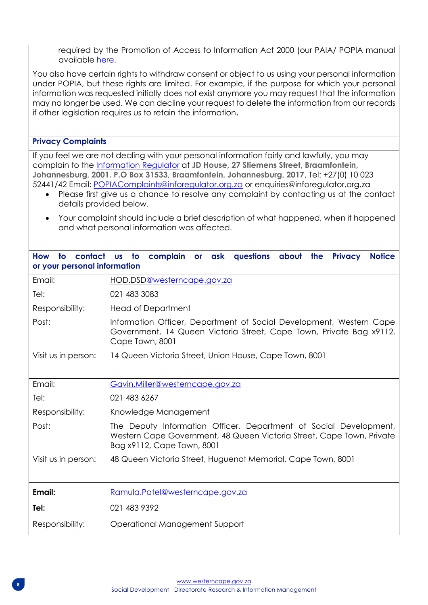required by the Promotion of Access to Information Act 2000 (our PAIA/ POPIA manual available [here.](https://www.westerncape.gov.za/dept/treasury/documents/guides/A/49957)

You also have certain rights to withdraw consent or object to us using your personal information under POPIA, but these rights are limited. For example, if the purpose for which your personal information was requested initially does not exist anymore you may request that the information may no longer be used. We can decline your request to delete the information from our records if other legislation requires us to retain the information**.**

### **Privacy Complaints**

If you feel we are not dealing with your personal information fairly and lawfully, you may complain to the [Information Regulator](http://www.justice.gov.za/inforeg/index.html) at **JD House, 27 Stiemens Street, Braamfontein, Johannesburg, 2001. P.O Box 31533, Braamfontein, Johannesburg, 2017,** Tel: +27(0) 10 023 52441/42 Email: [POPIAComplaints@inforegulator.org.za](mailto:POPIAComplaints@inforegulator.org.za) or enquiries@inforegulator.org.za

- Please first give us a chance to resolve any complaint by contacting us at the contact details provided below.
- Your complaint should include a brief description of what happened, when it happened and what personal information was affected.

| <b>How</b><br>or your personal information | to contact us to complain or ask questions about the<br><b>Privacy</b><br><b>Notice</b>                                                                                  |
|--------------------------------------------|--------------------------------------------------------------------------------------------------------------------------------------------------------------------------|
| Email:                                     | HOD.DSD@westerncape.gov.za                                                                                                                                               |
| Tel:                                       | 021 483 3083                                                                                                                                                             |
| Responsibility:                            | <b>Head of Department</b>                                                                                                                                                |
| Post:                                      | Information Officer, Department of Social Development, Western Cape<br>Government, 14 Queen Victoria Street, Cape Town, Private Bag x9112,<br>Cape Town, 8001            |
| Visit us in person:                        | 14 Queen Victoria Street, Union House, Cape Town, 8001                                                                                                                   |
| Email:                                     | Gavin.Miller@westerncape.gov.za                                                                                                                                          |
| Tel:                                       | 021 483 6267                                                                                                                                                             |
| Responsibility:                            | Knowledge Management                                                                                                                                                     |
| Post:                                      | The Deputy Information Officer, Department of Social Development,<br>Western Cape Government, 48 Queen Victoria Street, Cape Town, Private<br>Bag x9112, Cape Town, 8001 |
| Visit us in person:                        | 48 Queen Victoria Street, Huguenot Memorial, Cape Town, 8001                                                                                                             |
|                                            |                                                                                                                                                                          |
| Email:                                     | Ramula.Patel@westerncape.gov.za                                                                                                                                          |
| Tel:                                       | 021 483 9392                                                                                                                                                             |
| Responsibility:                            | Operational Management Support                                                                                                                                           |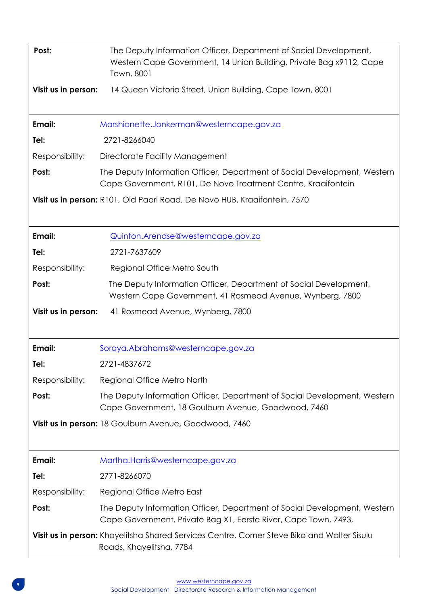| Post:<br>Visit us in person: | The Deputy Information Officer, Department of Social Development,<br>Western Cape Government, 14 Union Building, Private Bag x9112, Cape<br>Town, 8001<br>14 Queen Victoria Street, Union Building, Cape Town, 8001 |
|------------------------------|---------------------------------------------------------------------------------------------------------------------------------------------------------------------------------------------------------------------|
|                              |                                                                                                                                                                                                                     |
| Email:                       | Marshionette.Jonkerman@westerncape.gov.za                                                                                                                                                                           |
| Tel:                         | 2721-8266040                                                                                                                                                                                                        |
| Responsibility:              | Directorate Facility Management                                                                                                                                                                                     |
| Post:                        | The Deputy Information Officer, Department of Social Development, Western<br>Cape Government, R101, De Novo Treatment Centre, Kraaifontein                                                                          |
|                              | Visit us in person: R101, Old Paarl Road, De Novo HUB, Kraaifontein, 7570                                                                                                                                           |
| Email:                       | <u>Quinton.Arendse@westerncape.gov.za</u>                                                                                                                                                                           |
| Tel:                         | 2721-7637609                                                                                                                                                                                                        |
| Responsibility:              | Regional Office Metro South                                                                                                                                                                                         |
| Post:                        | The Deputy Information Officer, Department of Social Development,<br>Western Cape Government, 41 Rosmead Avenue, Wynberg, 7800                                                                                      |
| Visit us in person:          | 41 Rosmead Avenue, Wynberg, 7800                                                                                                                                                                                    |
| Email:                       | Soraya.Abrahams@westerncape.gov.za                                                                                                                                                                                  |
| Tel:                         | 2721-4837672                                                                                                                                                                                                        |
| Responsibility:              | Regional Office Metro North                                                                                                                                                                                         |
| Post:                        | The Deputy Information Officer, Department of Social Development, Western<br>Cape Government, 18 Goulburn Avenue, Goodwood, 7460                                                                                    |
|                              | Visit us in person: 18 Goulburn Avenue, Goodwood, 7460                                                                                                                                                              |
| Email:                       | Martha.Harris@westerncape.gov.za                                                                                                                                                                                    |
| Tel:                         | 2771-8266070                                                                                                                                                                                                        |
| Responsibility:              | Regional Office Metro East                                                                                                                                                                                          |
| Post:                        | The Deputy Information Officer, Department of Social Development, Western<br>Cape Government, Private Bag X1, Eerste River, Cape Town, 7493,                                                                        |
|                              | Visit us in person: Khayelitsha Shared Services Centre, Corner Steve Biko and Walter Sisulu<br>Roads, Khayelitsha, 7784                                                                                             |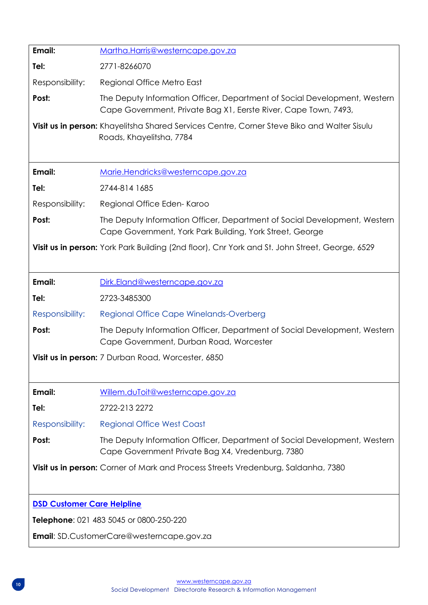| Email:                                                                            | Martha.Harris@westerncape.gov.za                                                                                                             |  |  |
|-----------------------------------------------------------------------------------|----------------------------------------------------------------------------------------------------------------------------------------------|--|--|
| Tel:                                                                              | 2771-8266070                                                                                                                                 |  |  |
| Responsibility:                                                                   | Regional Office Metro East                                                                                                                   |  |  |
| Post:                                                                             | The Deputy Information Officer, Department of Social Development, Western<br>Cape Government, Private Bag X1, Eerste River, Cape Town, 7493, |  |  |
|                                                                                   | Visit us in person: Khayelitsha Shared Services Centre, Corner Steve Biko and Walter Sisulu<br>Roads, Khayelitsha, 7784                      |  |  |
| Email:                                                                            | Marie.Hendricks@westerncape.gov.za                                                                                                           |  |  |
| Tel:                                                                              | 2744-814 1685                                                                                                                                |  |  |
| Responsibility:                                                                   | Regional Office Eden-Karoo                                                                                                                   |  |  |
| Post:                                                                             | The Deputy Information Officer, Department of Social Development, Western<br>Cape Government, York Park Building, York Street, George        |  |  |
|                                                                                   | Visit us in person: York Park Building (2nd floor), Cnr York and St. John Street, George, 6529                                               |  |  |
| Email:                                                                            | Dirk.Eland@westerncape.gov.za                                                                                                                |  |  |
| Tel:                                                                              | 2723-3485300                                                                                                                                 |  |  |
| Responsibility:                                                                   | <b>Regional Office Cape Winelands-Overberg</b>                                                                                               |  |  |
| Post:                                                                             | The Deputy Information Officer, Department of Social Development, Western<br>Cape Government, Durban Road, Worcester                         |  |  |
| Visit us in person: 7 Durban Road, Worcester, 6850                                |                                                                                                                                              |  |  |
| Email:                                                                            | Willem.duToit@westerncape.gov.za                                                                                                             |  |  |
| Tel:                                                                              | 2722-213 2272                                                                                                                                |  |  |
| Responsibility:                                                                   | <b>Regional Office West Coast</b>                                                                                                            |  |  |
| Post:                                                                             | The Deputy Information Officer, Department of Social Development, Western<br>Cape Government Private Bag X4, Vredenburg, 7380                |  |  |
| Visit us in person: Corner of Mark and Process Streets Vredenburg, Saldanha, 7380 |                                                                                                                                              |  |  |
| <b>DSD Customer Care Helpline</b>                                                 |                                                                                                                                              |  |  |
| Telephone: 021 483 5045 or 0800-250-220                                           |                                                                                                                                              |  |  |
|                                                                                   | <b>Email:</b> SD.CustomerCare@westerncape.gov.za                                                                                             |  |  |